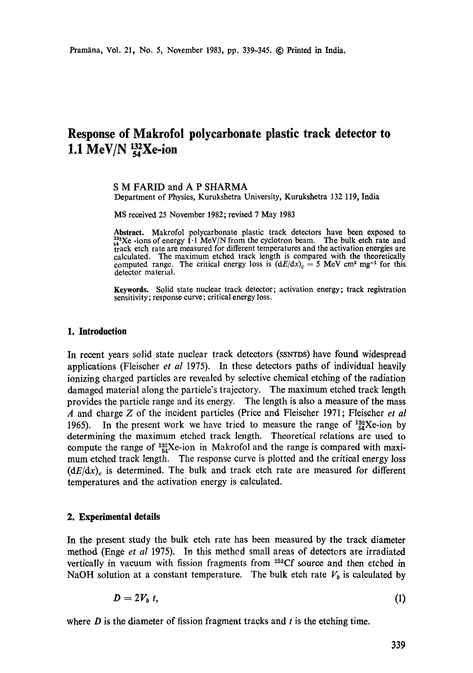# **Response of Makrofol polycarbonate plastic track detector to**  1.1 MeV/N  $^{132}_{54}$ Xe-ion

#### **S M FARID and A P SHARMA**  Department of Physics, Kurukshetra University, Kurukshetra 132 119, India

MS received 25 November 1982; revised 7 May 1983

**Abstract.** Makrofol polycarbonate plastic track detectors have been exposed to  $^{132}_{54}$ Xe -ions of energy 1.1 MeV/N from the cyclotron beam. The bulk etch rate and  $t_{\text{track}}$  are not belong that  $t_{\text{row}}$  is the village of different temperatures and the activation energies are calculated. The maximum etched track length is compared with the theoretically computed range. The critical energy loss is  $(dE/dx)$ <sub>c</sub> = 5 MeV cm<sup>2</sup> mg<sup>-1</sup> for this detector material.

**Keywords.** Solid state nuclear track detector; activation energy; track registration sensitivity; response curve; critical energy loss.

#### **1. Introduction**

In recent years solid state nuclear track detectors (SSNTDS) have found widespread applications (Fleischer *et al* 1975). In these detectors paths of individual heavily ionizing charged particles are revealed by selective chemical etching of the radiation damaged material along the particle's trajectory. The maximum etched track length provides the particle range and its energy. The length is also a measure of the mass A and charge Z of the incident particles (Price and Fleischer 1971; Fleischer *et al*  1965). In the present work we have tried to measure the range of  $^{132}_{54}$ Xe-ion by determining the maximum etched track length. Theoretical relations are used to compute the range of  $^{132}_{54}$ Xe-ion in Makrofol and the range is compared with maximum etched track length. The response curve is plotted and the critical energy loss  $(dE/dx)$ <sub>c</sub> is determined. The bulk and track etch rate are measured for different temperatures and the activation energy is calculated.

#### **2. Experimental details**

In the present study the bulk etch rate has been measured by the track diameter method (Enge *et al* 1975). In this methed small areas of detectors are irradiated vertically in vacuum with fission fragments from  $252Cf$  source and then etched in NaOH solution at a constant temperature. The bulk etch rate  $V<sub>b</sub>$  is calculated by

$$
D=2V_b t, \tag{1}
$$

where  $D$  is the diameter of fission fragment tracks and t is the etching time.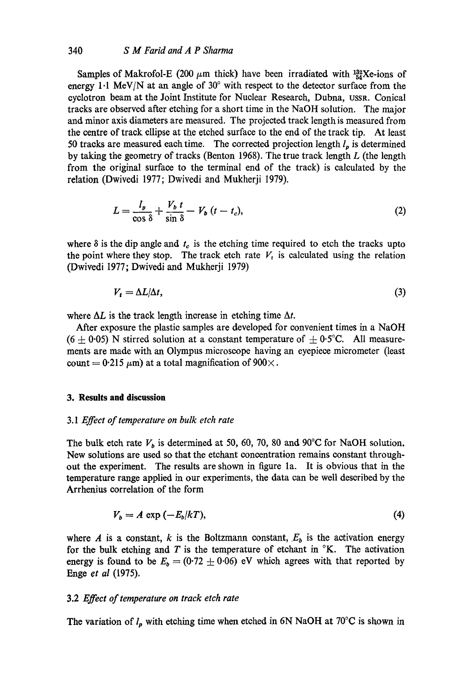Samples of Makrofol-E (200  $\mu$ m thick) have been irradiated with  $^{132}_{54}$ Xe-ions of energy  $1.1 \text{ MeV/N}$  at an angle of  $30^{\circ}$  with respect to the detector surface from the cyclotron beam at the Joint Institute for Nuclear Research, Dubna, USSR. Conical tracks are observed after etching for a short time in the NaOH solution. The major and minor axis diameters are measured. The projected track length is measured from the centre of track ellipse at the etched surface to the end of the track tip. At least 50 tracks are measured each time. The corrected projection length  $l_p$  is determined by taking the geometry of tracks (Benton 1968). The true track length  $L$  (the length from the original surface to the terminal end of the track) is calculated by the relation (Dwivedi 1977; Dwivedi and Mukherji 1979).

$$
L = \frac{l_{\mathfrak{p}}}{\cos \delta} + \frac{V_{\mathfrak{b}} \, t}{\sin \delta} - V_{\mathfrak{b}} \, (t - t_c), \tag{2}
$$

where  $\delta$  is the dip angle and  $t_c$  is the etching time required to etch the tracks upto the point where they stop. The track etch rate  $V_t$  is calculated using the relation (Dwivedi 1977; Dwivedi and Mukherji 1979)

$$
V_t = \Delta L/\Delta t,\tag{3}
$$

where  $\Delta L$  is the track length increase in etching time  $\Delta t$ .

After exposure the plastic samples are developed for convenient times in a NaOH  $(6 \pm 0.05)$  N stirred solution at a constant temperature of  $\pm 0.5$ °C. All measurements are made with an Olympus microscope having an eyepiece micrometer (least count = 0.215  $\mu$ m) at a total magnification of 900 $\times$ .

#### **3. Results and discussion**

#### *3.1 Effect of temperature on bulk etch rate*

The bulk etch rate  $V_b$  is determined at 50, 60, 70, 80 and 90°C for NaOH solution. New solutions are used so that the etehant concentration remains constant throughout the experiment. The results are shown in figure la. It is obvious that in the temperature range applied in our experiments, the data can be well described by the Arrhenius correlation of the form

$$
V_b = A \exp(-E_b/kT), \tag{4}
$$

where A is a constant, k is the Boltzmann constant,  $E<sub>b</sub>$  is the activation energy for the bulk etching and  $T$  is the temperature of etchant in  $K$ . The activation energy is found to be  $E_b = (0.72 \pm 0.06)$  eV which agrees with that reported by Enge *et al* (1975).

#### 3.2 *Effect of temperature on track etch rate*

The variation of  $l_p$  with etching time when etched in 6N NaOH at 70°C is shown in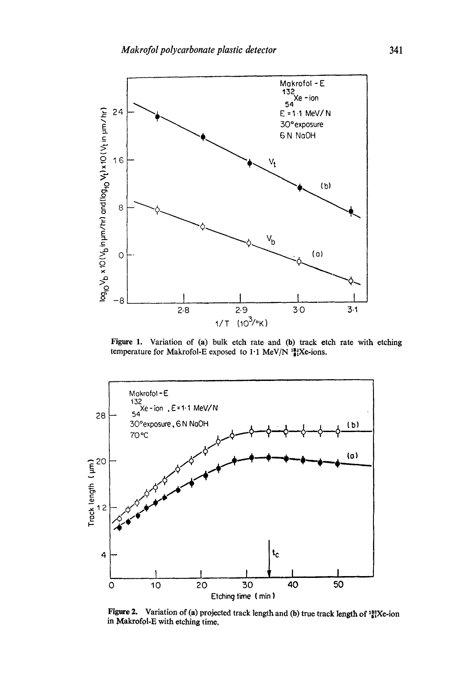

Figure 1. Variation of (a) bulk etch rate and (b) track etch rate with etching temperature for Makrofol-E exposed to  $1.1 \text{ MeV/N}$   $^{12.2}_{14}$ Xe-ions.



Figure 2. Variation of (a) projected track length and (b) true track length of  $^{132}_{84}$ Xe-ion in Makrofol-E with etching time,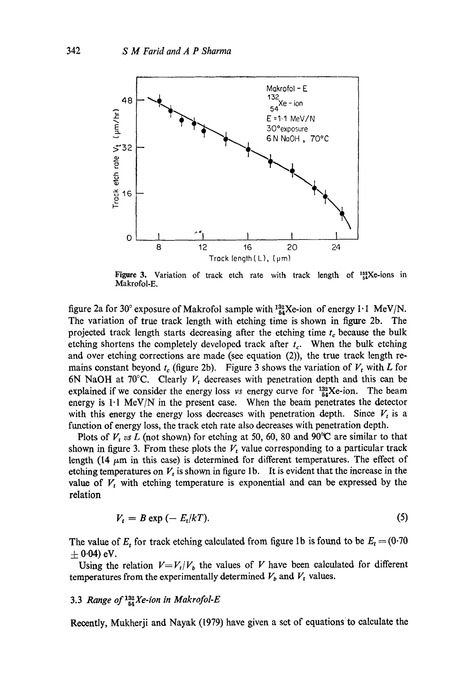

Figure 3. Variation of track etch rate with track length of  $^{132}_{54}$ Xe-ions in Makrofol-E.

figure 2a for 30° exposure of Makrofol sample with  $^{132}_{64}$ Xe-ion of energy 1.1 MeV/N. The variation of true track length with etching time is shown in figure 2b. The projected track length starts decreasing after the etching time  $t_c$  because the bulk etching shortens the completely developed track after  $t_c$ . When the bulk etching and over etching corrections are made (see equation (2)), the true track length remains constant beyond  $t_c$  (figure 2b). Figure 3 shows the variation of  $V_t$  with L for 6N NaOH at 70 $\degree$ C. Clearly  $V_t$  decreases with penetration depth and this can be explained if we consider the energy loss *vs* energy curve for  $^{132}_{54}$ Xe-ion. The beam energy is  $1·1$  MeV/N in the present case. When the beam penetrates the detector with this energy the energy loss decreases with penetration depth. Since  $V_t$  is a function of energy loss, the track etch rate also decreases with penetration depth.

Plots of  $V_t$  *vs L* (not shown) for etching at 50, 60, 80 and 90°C are similar to that shown in figure 3. From these plots the  $V_t$  value corresponding to a particular track length (14  $\mu$ m in this case) is determined for different temperatures. The effect of etching temperatures on  $V_t$  is shown in figure 1b. It is evident that the increase in the value of  $V_t$  with etching temperature is exponential and can be expressed by the relation

$$
V_t = B \exp\left(-E_t/kT\right). \tag{5}
$$

The value of  $E_t$  for track etching calculated from figure 1b is found to be  $E_t = (0.70$  $\pm$  0.04) eV.

Using the relation  $V=V_t/V_b$  the values of V have been calculated for different temperatures from the experimentally determined  $V_b$  and  $V_t$  values.

# 3.3 *Range of*  $^{132}_{54}$ *Xe-ion in Makrofol-E*

Recently, Mukherji and Nayak (1979) have given a set of equations to calculate the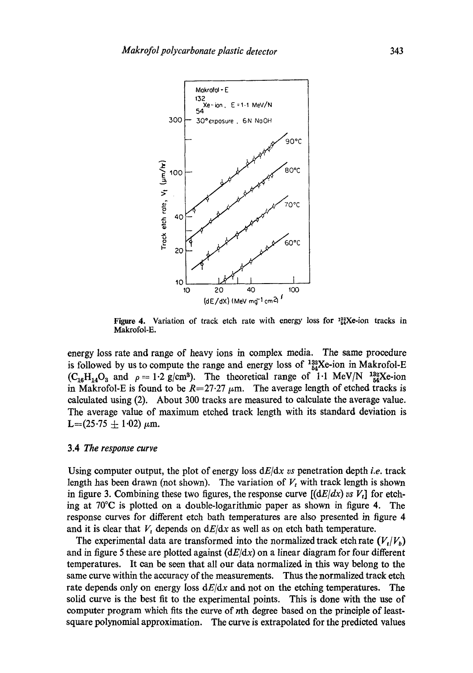

Figure 4. Variation of track etch rate with energy loss for  $^{122}_{54}$ Xe-ion tracks in Makrofol-E.

energy loss rate and range of heavy ions in complex media. The same procedure is followed by us to compute the range and energy loss of  $^{132}_{54}$ Xe-ion in Makrofol-E  $(C_{16}H_{14}O_3$  and  $\rho=1.2$  g/cm<sup>3</sup>). The theoretical range of 1.1 MeV/N <sup>132</sup><sub>54</sub>Xe-ion in Makrofol-E is found to be  $R=27.27 \mu m$ . The average length of etched tracks is calculated using (2). About 300 tracks are measured to calculate the average value. The average value of maximum etched track length with its standard deviation is  $L=(25.75 + 1.02) \mu m.$ 

#### 3.4 *The response curve*

Using computer output, the plot of energy loss *dE/dx vs* penetration depth *i.e.* track length has been drawn (not shown). The variation of  $V_t$  with track length is shown in figure 3. Combining these two figures, the response curve  $[(dE/dx) \text{ vs } V_t]$  for etching at 70°C is plotted on a double-logarithmic paper as shown in figure 4. The response curves for different etch bath temperatures are also presented in figure 4 and it is clear that  $V_t$  depends on  $dE/dx$  as well as on etch bath temperature.

The experimental data are transformed into the normalized track etch rate  $(V_t|V_b)$ and in figure 5 these are plotted against  $(dE/dx)$  on a linear diagram for four different temperatures. It can be seen that all our data normalized in this way belong to the same curve within the accuracy of the measurements. Thus the normalized track etch rate depends only on energy loss  $dE/dx$  and not on the etching temperatures. The solid curve is the best fit to the experimental points. This is done with the use of computer program which fits the curve of nth degree based on the principle of leastsquare polynomial approximation. The curve is extrapolated for the predicted values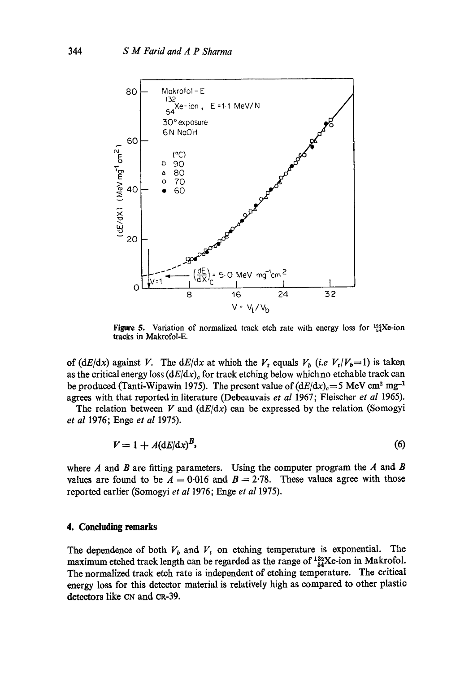

Figure 5. Variation of normalized track etch rate with energy loss for  $^{122}_{84}$ Xe-ion tracks in Makrofol-E.

*of (dE/dx) against V.* The *dE/dx at which the V<sub>t</sub> equals*  $V_b$  *(i.e*  $V_t/V_b=1$ *) is taken* as the critical energy loss  $(dE/dx)$ , for track etching below which no etchable track can be produced (Tanti-Wipawin 1975). The present value of  $(dE/dx)<sub>c</sub>=5$  MeV cm<sup>2</sup> mg<sup>-1</sup> agrees with that reported in literature (Debeauvais *et al* 1967; Fleischer *et al* 1965).

The relation between V and  $\left(\frac{dE}{dx}\right)$  can be expressed by the relation (Somogyi *et al* 1976; Enge *et al* 1975).

$$
V = 1 + A(\mathrm{d}E/\mathrm{d}x)^B,\tag{6}
$$

where  $A$  and  $B$  are fitting parameters. Using the computer program the  $A$  and  $B$ values are found to be  $A = 0.016$  and  $B = 2.78$ . These values agree with those reported earlier (Somogyi *et a11976;* Enge *et al* 1975).

## **4. Concluding remarks**

The dependence of both  $V_b$  and  $V_t$  on etching temperature is exponential. The maximum etched track length can be regarded as the range of  $^{132}_{54}$ Xe-ion in Makrofol. The normalized track etch rate is independent of etching temperature. The critical energy loss for this detector material is relatively high as compared to other plastic detectors like cN and cR-39.